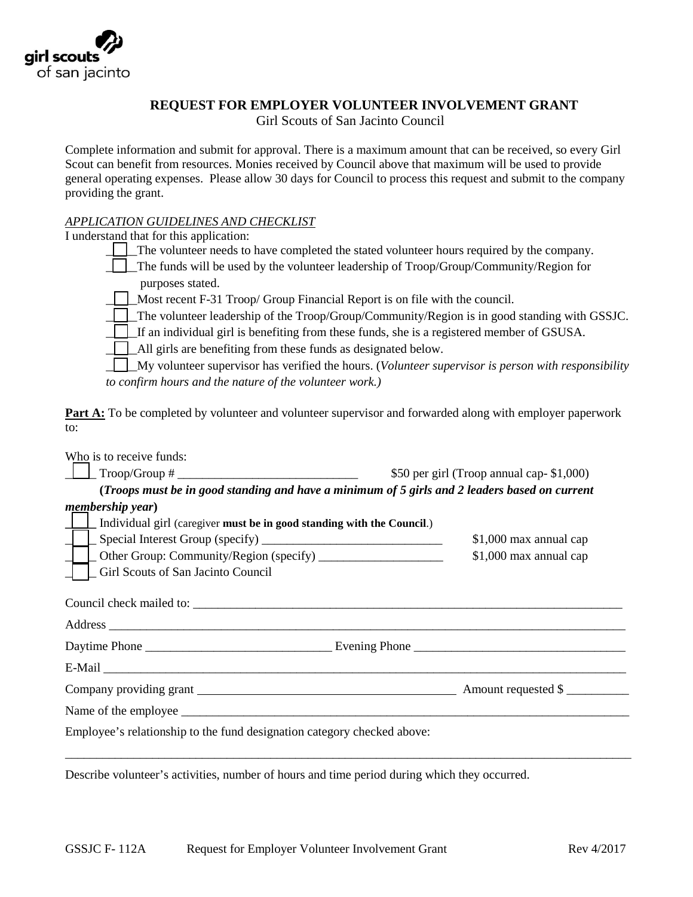

## **REQUEST FOR EMPLOYER VOLUNTEER INVOLVEMENT GRANT**

Girl Scouts of San Jacinto Council

Complete information and submit for approval. There is a maximum amount that can be received, so every Girl Scout can benefit from resources. Monies received by Council above that maximum will be used to provide general operating expenses. Please allow 30 days for Council to process this request and submit to the company providing the grant.

## *APPLICATION GUIDELINES AND CHECKLIST*

I understand that for this application:

The volunteer needs to have completed the stated volunteer hours required by the company.

\_\_\_\_\_The funds will be used by the volunteer leadership of Troop/Group/Community/Region for purposes stated.

 $\Box$  Most recent F-31 Troop/ Group Financial Report is on file with the council.

\_\_\_\_\_The volunteer leadership of the Troop/Group/Community/Region is in good standing with GSSJC.

 $\Box$  If an individual girl is benefiting from these funds, she is a registered member of GSUSA.

\_\_\_\_\_All girls are benefiting from these funds as designated below.

\_\_\_\_\_My volunteer supervisor has verified the hours. (*Volunteer supervisor is person with responsibility to confirm hours and the nature of the volunteer work.)*

**Part A:** To be completed by volunteer and volunteer supervisor and forwarded along with employer paperwork to:

| \$50 per girl (Troop annual cap-\$1,000)                                                      |
|-----------------------------------------------------------------------------------------------|
| (Troops must be in good standing and have a minimum of 5 girls and 2 leaders based on current |
|                                                                                               |
| [100] Individual girl (caregiver must be in good standing with the Council.)                  |
| \$1,000 max annual cap                                                                        |
| \$1,000 max annual cap                                                                        |
|                                                                                               |
| Address                                                                                       |
|                                                                                               |
|                                                                                               |
|                                                                                               |
|                                                                                               |
| Employee's relationship to the fund designation category checked above:                       |
|                                                                                               |
|                                                                                               |

Describe volunteer's activities, number of hours and time period during which they occurred.